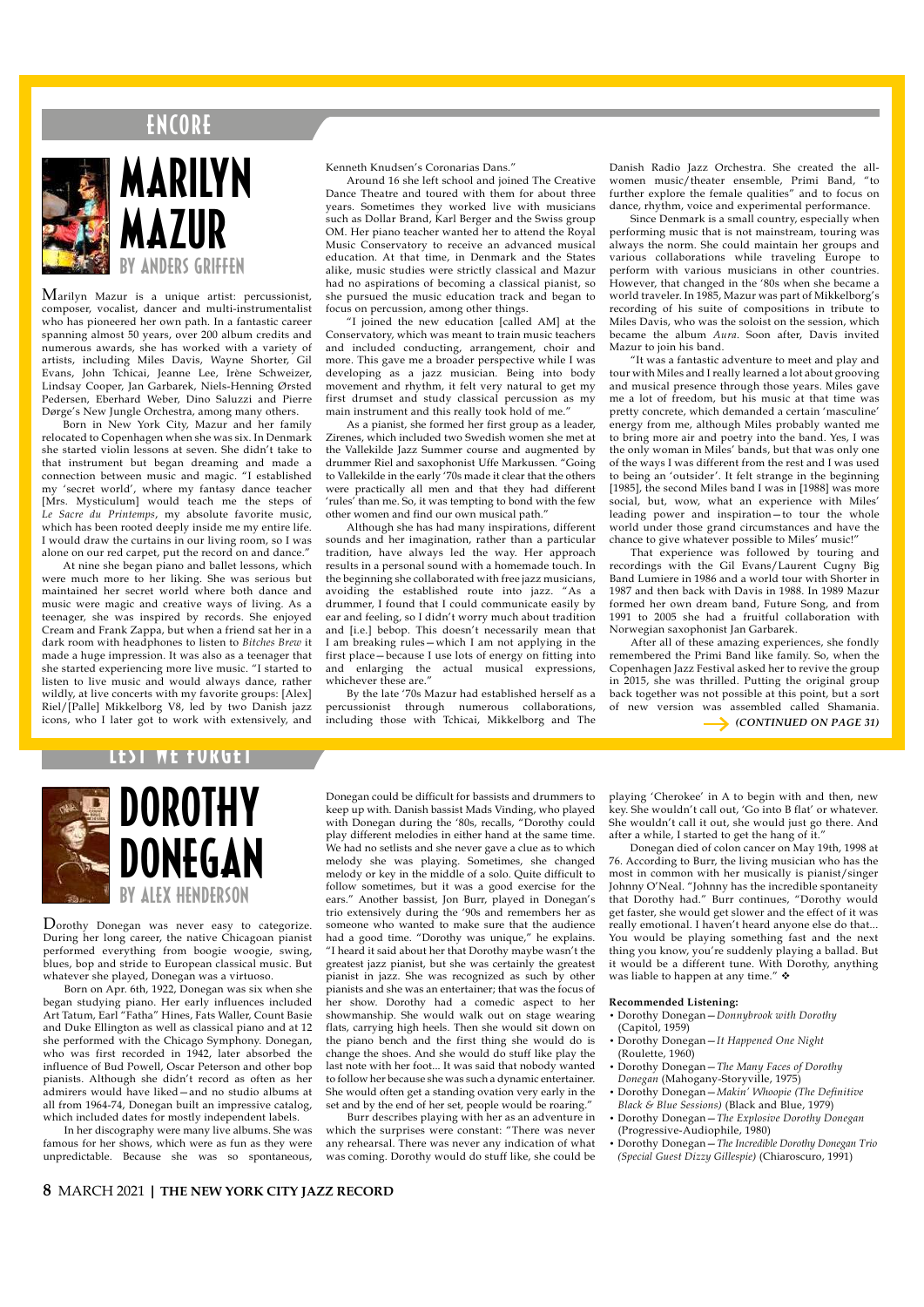# E N CO RE



# MARILYN MAZIIR by anders griffen

Marilyn Mazur is a unique artist: percussionist, composer, vocalist, dancer and multi-instrumentalist who has pioneered her own path. In a fantastic career spanning almost 50 years, over 200 album credits and numerous awards, she has worked with a variety of artists, including Miles Davis, Wayne Shorter, Gil Evans, John Tchicai, Jeanne Lee, Irène Schweizer, Lindsay Cooper, Jan Garbarek, Niels-Henning Ørsted Pedersen, Eberhard Weber, Dino Saluzzi and Pierre Dørge's New Jungle Orchestra, among many others.

Born in New York City, Mazur and her family relocated to Copenhagen when she was six. In Denmark she started violin lessons at seven. She didn't take to she started violin cooled at the lines.<br>
that instrument but began dreaming and made a<br>
connection between music and magic. "I established connection between music and magic. my 'secret world', where my fantasy dance teacher [Mrs. Mysticulum] would teach me the steps of *Le Sacre du Printemps*, my absolute favorite music, which has been rooted deeply inside me my entire life. I would draw the curtains in our living room, so I was alone on our red carpet, put the record on and dance."

 At nine she began piano and ballet lessons, which were much more to her liking. She was serious but maintained her secret world where both dance and music were magic and creative ways of living. As a teenager, she was inspired by records. She enjoyed Cream and Frank Zappa, but when a friend sat her in a dark room with headphones to listen to *Bitches Brew* it made a huge impression. It was also as a teenager that she started experiencing more live music. "I started to listen to live music and would always dance, rather wildly, at live concerts with my favorite groups: [Alex] Riel/[Palle] Mikkelborg V8, led by two Danish jazz icons, who I later got to work with extensively, and Kenneth Knudsen's Coronarias Dans."

Around 16 she left school and joined The Creative Dance Theatre and toured with them for about three years. Sometimes they worked live with musicians such as Dollar Brand, Karl Berger and the Swiss group OM. Her piano teacher wanted her to attend the Royal Music Conservatory to receive an advanced musical education. At that time, in Denmark and the States alike, music studies were strictly classical and Mazur had no aspirations of becoming a classical pianist, so she pursued the music education track and began to focus on percussion, among other things.

"I joined the new education [called AM] at the Conservatory, which was meant to train music teachers and included conducting, arrangement, choir and more. This gave me a broader perspective while I was developing as a jazz musician. Being into body movement and rhythm, it felt very natural to get my first drumset and study classical percussion as my main instrument and this really took hold of me."

As a pianist, she formed her first group as a leader, Zirenes, which included two Swedish women she met at the Vallekilde Jazz Summer course and augmented by drummer Riel and saxophonist Uffe Markussen. "Going to Vallekilde in the early '70s made it clear that the others were practically all men and that they had different 'rules' than me. So, it was tempting to bond with the few other women and find our own musical path."

Although she has had many inspirations, different sounds and her imagination, rather than a particular tradition, have always led the way. Her approach results in a personal sound with a homemade touch. In the beginning she collaborated with free jazz musicians, avoiding the established route into jazz. "As a drummer, I found that I could communicate easily by ear and feeling, so I didn't worry much about tradition and [i.e.] bebop. This doesn't necessarily mean that I am breaking rules—which I am not applying in the first place—because I use lots of energy on fitting into and enlarging the actual musical expressions, whichever these are."

By the late '70s Mazur had established herself as a percussionist through numerous collaborations, including those with Tchicai, Mikkelborg and The

Danish Radio Jazz Orchestra. She created the allwomen music/theater ensemble, Primi Band, "to further explore the female qualities" and to focus on dance, rhythm, voice and experimental performance.

Since Denmark is a small country, especially when performing music that is not mainstream, touring was always the norm. She could maintain her groups and various collaborations while traveling Europe to perform with various musicians in other countries. However, that changed in the '80s when she became a world traveler. In 1985, Mazur was part of Mikkelborg's recording of his suite of compositions in tribute to Miles Davis, who was the soloist on the session, which became the album *Aura*. Soon after, Davis invited Mazur to join his band.

"It was a fantastic adventure to meet and play and tour with Miles and I really learned a lot about grooving and musical presence through those years. Miles gave me a lot of freedom, but his music at that time was pretty concrete, which demanded a certain 'masculine' energy from me, although Miles probably wanted me to bring more air and poetry into the band. Yes, I was the only woman in Miles' bands, but that was only one of the ways I was different from the rest and I was used to being an 'outsider'. It felt strange in the beginning [1985], the second Miles band I was in [1988] was more social, but, wow, what an experience with Miles' leading power and inspiration—to tour the whole world under those grand circumstances and have the chance to give whatever possible to Miles' music!"

That experience was followed by touring and recordings with the Gil Evans/Laurent Cugny Big Band Lumiere in 1986 and a world tour with Shorter in 1987 and then back with Davis in 1988. In 1989 Mazur formed her own dream band, Future Song, and from 1991 to 2005 she had a fruitful collaboration with Norwegian saxophonist Jan Garbarek.

After all of these amazing experiences, she fondly remembered the Primi Band like family. So, when the Copenhagen Jazz Festival asked her to revive the group in 2015, she was thrilled. Putting the original group back together was not possible at this point, but a sort of new version was assembled called Shamania.

*(CONTINUED ON PAGE 31)*



Dorothy Donegan was never easy to categorize. During her long career, the native Chicagoan pianist performed everything from boogie woogie, swing, blues, bop and stride to European classical music. But whatever she played, Donegan was a virtuoso.

Born on Apr. 6th, 1922, Donegan was six when she began studying piano. Her early influences included Art Tatum, Earl "Fatha" Hines, Fats Waller, Count Basie and Duke Ellington as well as classical piano and at 12 she performed with the Chicago Symphony. Donegan, who was first recorded in 1942, later absorbed the influence of Bud Powell, Oscar Peterson and other bop pianists. Although she didn't record as often as her admirers would have liked—and no studio albums at all from 1964-74, Donegan built an impressive catalog, which included dates for mostly independent labels.

In her discography were many live albums. She was famous for her shows, which were as fun as they were unpredictable. Because she was so spontaneous,

Donegan could be difficult for bassists and drummers to keep up with. Danish bassist Mads Vinding, who played with Donegan during the '80s, recalls, "Dorothy could play different melodies in either hand at the same time. We had no setlists and she never gave a clue as to which melody she was playing. Sometimes, she changed melody or key in the middle of a solo. Quite difficult to follow sometimes, but it was a good exercise for the ears." Another bassist, Jon Burr, played in Donegan's trio extensively during the '90s and remembers her as someone who wanted to make sure that the audience had a good time. "Dorothy was unique," he explains. "I heard it said about her that Dorothy maybe wasn't the greatest jazz pianist, but she was certainly the greatest pianist in jazz. She was recognized as such by other pianists and she was an entertainer; that was the focus of her show. Dorothy had a comedic aspect to her showmanship. She would walk out on stage wearing flats, carrying high heels. Then she would sit down on the piano bench and the first thing she would do is change the shoes. And she would do stuff like play the last note with her foot. It was said that nobody wanted to follow her because she was such a dynamic entertainer. She would often get a standing ovation very early in the set and by the end of her set, people would be roaring.'

Burr describes playing with her as an adventure in which the surprises were constant: "There was never any rehearsal. There was never any indication of what was coming. Dorothy would do stuff like, she could be

playing 'Cherokee' in A to begin with and then, new key. She wouldn't call out, 'Go into B flat' or whatever. She wouldn't call it out, she would just go there. And after a while, I started to get the hang of it."

Donegan died of colon cancer on May 19th, 1998 at 76. According to Burr, the living musician who has the most in common with her musically is pianist/singer Johnny O'Neal. "Johnny has the incredible spontaneity that Dorothy had." Burr continues, "Dorothy would get faster, she would get slower and the effect of it was really emotional. I haven't heard anyone else do that... You would be playing something fast and the next thing you know, you're suddenly playing a ballad. But it would be a different tune. With Dorothy, anything was liable to happen at any time."  $\triangleleft$ 

### **Recommended Listening:**

- Dorothy Donegan—*Donnybrook with Dorothy* (Capitol, 1959)
- Dorothy Donegan—*It Happened One Night* (Roulette, 1960)
- Dorothy Donegan—*The Many Faces of Dorothy Donegan* (Mahogany-Storyville, 1975)
- Dorothy Donegan—*Makin' Whoopie (The Definitive Black & Blue Sessions)* (Black and Blue, 1979)
- Dorothy Donegan—*The Explosive Dorothy Donegan*  (Progressive-Audiophile, 1980)
- Dorothy Donegan—*The Incredible Dorothy Donegan Trio (Special Guest Dizzy Gillespie)* (Chiaroscuro, 1991)